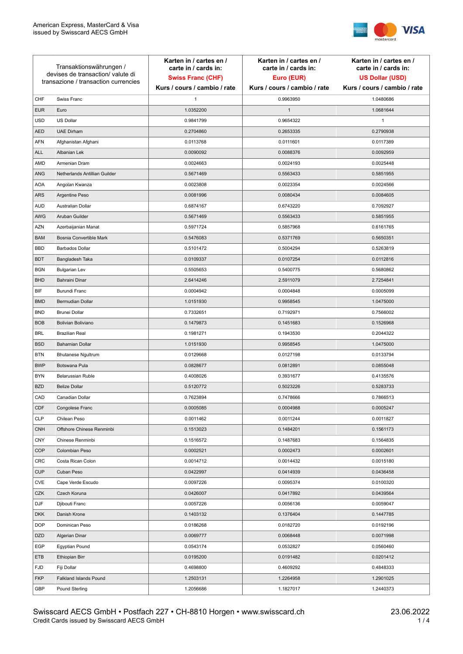

| Transaktionswährungen /<br>devises de transaction/valute di<br>transazione / transaction currencies |                               | Karten in / cartes en /<br>carte in / cards in:<br><b>Swiss Franc (CHF)</b> | Karten in / cartes en /<br>carte in / cards in:<br>Euro (EUR) | Karten in / cartes en /<br>carte in / cards in:<br><b>US Dollar (USD)</b> |
|-----------------------------------------------------------------------------------------------------|-------------------------------|-----------------------------------------------------------------------------|---------------------------------------------------------------|---------------------------------------------------------------------------|
|                                                                                                     |                               | Kurs / cours / cambio / rate                                                | Kurs / cours / cambio / rate                                  | Kurs / cours / cambio / rate                                              |
| CHF                                                                                                 | Swiss Franc                   | 1                                                                           | 0.9963950                                                     | 1.0480686                                                                 |
| <b>EUR</b>                                                                                          | Euro                          | 1.0352200                                                                   | $\mathbf{1}$                                                  | 1.0681644                                                                 |
| <b>USD</b>                                                                                          | US Dollar                     | 0.9841799                                                                   | 0.9654322                                                     | 1                                                                         |
| <b>AED</b>                                                                                          | <b>UAE Dirham</b>             | 0.2704860                                                                   | 0.2653335                                                     | 0.2790938                                                                 |
| <b>AFN</b>                                                                                          | Afghanistan Afghani           | 0.0113768                                                                   | 0.0111601                                                     | 0.0117389                                                                 |
| ALL                                                                                                 | Albanian Lek                  | 0.0090092                                                                   | 0.0088376                                                     | 0.0092959                                                                 |
| AMD                                                                                                 | Armenian Dram                 | 0.0024663                                                                   | 0.0024193                                                     | 0.0025448                                                                 |
| ANG                                                                                                 | Netherlands Antillian Guilder | 0.5671469                                                                   | 0.5563433                                                     | 0.5851955                                                                 |
| <b>AOA</b>                                                                                          | Angolan Kwanza                | 0.0023808                                                                   | 0.0023354                                                     | 0.0024566                                                                 |
| ARS                                                                                                 | Argentine Peso                | 0.0081996                                                                   | 0.0080434                                                     | 0.0084605                                                                 |
| <b>AUD</b>                                                                                          | Australian Dollar             | 0.6874167                                                                   | 0.6743220                                                     | 0.7092927                                                                 |
| AWG                                                                                                 | Aruban Guilder                | 0.5671469                                                                   | 0.5563433                                                     | 0.5851955                                                                 |
| AZN                                                                                                 | Azerbaijanian Manat           | 0.5971724                                                                   | 0.5857968                                                     | 0.6161765                                                                 |
| <b>BAM</b>                                                                                          | Bosnia Convertible Mark       | 0.5476083                                                                   | 0.5371769                                                     | 0.5650351                                                                 |
| <b>BBD</b>                                                                                          | <b>Barbados Dollar</b>        | 0.5101472                                                                   | 0.5004294                                                     | 0.5263819                                                                 |
| <b>BDT</b>                                                                                          | Bangladesh Taka               | 0.0109337                                                                   | 0.0107254                                                     | 0.0112816                                                                 |
| <b>BGN</b>                                                                                          | <b>Bulgarian Lev</b>          | 0.5505653                                                                   | 0.5400775                                                     | 0.5680862                                                                 |
| <b>BHD</b>                                                                                          | Bahraini Dinar                | 2.6414246                                                                   | 2.5911079                                                     | 2.7254841                                                                 |
| BIF                                                                                                 | Burundi Franc                 | 0.0004942                                                                   | 0.0004848                                                     | 0.0005099                                                                 |
| <b>BMD</b>                                                                                          | Bermudian Dollar              | 1.0151930                                                                   | 0.9958545                                                     | 1.0475000                                                                 |
| <b>BND</b>                                                                                          | <b>Brunei Dollar</b>          | 0.7332651                                                                   | 0.7192971                                                     | 0.7566002                                                                 |
| <b>BOB</b>                                                                                          | Bolivian Boliviano            | 0.1479873                                                                   | 0.1451683                                                     | 0.1526968                                                                 |
| <b>BRL</b>                                                                                          | <b>Brazilian Real</b>         | 0.1981271                                                                   | 0.1943530                                                     | 0.2044322                                                                 |
| <b>BSD</b>                                                                                          | <b>Bahamian Dollar</b>        | 1.0151930                                                                   | 0.9958545                                                     | 1.0475000                                                                 |
| <b>BTN</b>                                                                                          | <b>Bhutanese Ngultrum</b>     | 0.0129668                                                                   | 0.0127198                                                     | 0.0133794                                                                 |
| <b>BWP</b>                                                                                          | Botswana Pula                 | 0.0828677                                                                   | 0.0812891                                                     | 0.0855048                                                                 |
| <b>BYN</b>                                                                                          | Belarussian Ruble             | 0.4008026                                                                   | 0.3931677                                                     | 0.4135576                                                                 |
| <b>BZD</b>                                                                                          | <b>Belize Dollar</b>          | 0.5120772                                                                   | 0.5023226                                                     | 0.5283733                                                                 |
| CAD                                                                                                 | Canadian Dollar               | 0.7623894                                                                   | 0.7478666                                                     | 0.7866513                                                                 |
| CDF                                                                                                 | Congolese Franc               | 0.0005085                                                                   | 0.0004988                                                     | 0.0005247                                                                 |
| <b>CLP</b>                                                                                          | Chilean Peso                  | 0.0011462                                                                   | 0.0011244                                                     | 0.0011827                                                                 |
| <b>CNH</b>                                                                                          | Offshore Chinese Renminbi     | 0.1513023                                                                   | 0.1484201                                                     | 0.1561173                                                                 |
| <b>CNY</b>                                                                                          | Chinese Renminbi              | 0.1516572                                                                   | 0.1487683                                                     | 0.1564835                                                                 |
| <b>COP</b>                                                                                          | Colombian Peso                | 0.0002521                                                                   | 0.0002473                                                     | 0.0002601                                                                 |
| CRC                                                                                                 | Costa Rican Colon             | 0.0014712                                                                   | 0.0014432                                                     | 0.0015180                                                                 |
| <b>CUP</b>                                                                                          | Cuban Peso                    | 0.0422997                                                                   | 0.0414939                                                     | 0.0436458                                                                 |
| CVE                                                                                                 | Cape Verde Escudo             | 0.0097226                                                                   | 0.0095374                                                     | 0.0100320                                                                 |
| CZK                                                                                                 | Czech Koruna                  | 0.0426007                                                                   | 0.0417892                                                     | 0.0439564                                                                 |
| DJF                                                                                                 | Djibouti Franc                | 0.0057226                                                                   | 0.0056136                                                     | 0.0059047                                                                 |
| <b>DKK</b>                                                                                          | Danish Krone                  | 0.1403132                                                                   | 0.1376404                                                     | 0.1447785                                                                 |
| <b>DOP</b>                                                                                          | Dominican Peso                | 0.0186268                                                                   | 0.0182720                                                     | 0.0192196                                                                 |
| <b>DZD</b>                                                                                          | Algerian Dinar                | 0.0069777                                                                   | 0.0068448                                                     | 0.0071998                                                                 |
| EGP                                                                                                 | Egyptian Pound                | 0.0543174                                                                   | 0.0532827                                                     | 0.0560460                                                                 |
| ETB                                                                                                 | Ethiopian Birr                | 0.0195200                                                                   | 0.0191482                                                     | 0.0201412                                                                 |
| <b>FJD</b>                                                                                          | Fiji Dollar                   | 0.4698800                                                                   | 0.4609292                                                     | 0.4848333                                                                 |
| <b>FKP</b>                                                                                          | Falkland Islands Pound        | 1.2503131                                                                   | 1.2264958                                                     | 1.2901025                                                                 |
| GBP                                                                                                 | Pound Sterling                | 1.2056686                                                                   | 1.1827017                                                     | 1.2440373                                                                 |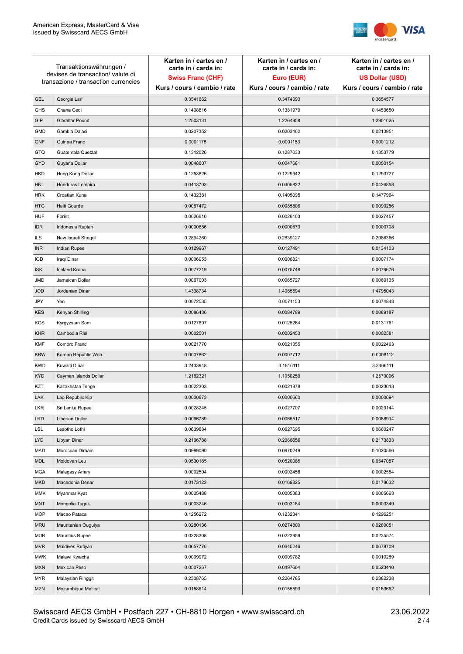

| Transaktionswährungen /<br>devises de transaction/valute di |                                      | Karten in / cartes en /<br>carte in / cards in: | Karten in / cartes en /<br>carte in / cards in: | Karten in / cartes en /<br>carte in / cards in: |
|-------------------------------------------------------------|--------------------------------------|-------------------------------------------------|-------------------------------------------------|-------------------------------------------------|
|                                                             | transazione / transaction currencies | <b>Swiss Franc (CHF)</b>                        | Euro (EUR)                                      | <b>US Dollar (USD)</b>                          |
|                                                             |                                      | Kurs / cours / cambio / rate                    | Kurs / cours / cambio / rate                    | Kurs / cours / cambio / rate                    |
| <b>GEL</b>                                                  | Georgia Lari                         | 0.3541862                                       | 0.3474393                                       | 0.3654577                                       |
| <b>GHS</b>                                                  | Ghana Cedi                           | 0.1408816                                       | 0.1381979                                       | 0.1453650                                       |
| GIP                                                         | Gibraltar Pound                      | 1.2503131                                       | 1.2264958                                       | 1.2901025                                       |
| <b>GMD</b>                                                  | Gambia Dalasi                        | 0.0207352                                       | 0.0203402                                       | 0.0213951                                       |
| <b>GNF</b>                                                  | Guinea Franc                         | 0.0001175                                       | 0.0001153                                       | 0.0001212                                       |
| <b>GTQ</b>                                                  | Guatemala Quetzal                    | 0.1312026                                       | 0.1287033                                       | 0.1353779                                       |
| GYD                                                         | Guyana Dollar                        | 0.0048607                                       | 0.0047681                                       | 0.0050154                                       |
| HKD                                                         | Hong Kong Dollar                     | 0.1253826                                       | 0.1229942                                       | 0.1293727                                       |
| <b>HNL</b>                                                  | Honduras Lempira                     | 0.0413703                                       | 0.0405822                                       | 0.0426868                                       |
| <b>HRK</b>                                                  | Croatian Kuna                        | 0.1432381                                       | 0.1405095                                       | 0.1477964                                       |
| <b>HTG</b>                                                  | Haiti Gourde                         | 0.0087472                                       | 0.0085806                                       | 0.0090256                                       |
| <b>HUF</b>                                                  | Forint                               | 0.0026610                                       | 0.0026103                                       | 0.0027457                                       |
| <b>IDR</b>                                                  | Indonesia Rupiah                     | 0.0000686                                       | 0.0000673                                       | 0.0000708                                       |
| <b>ILS</b>                                                  | New Israeli Sheqel                   | 0.2894260                                       | 0.2839127                                       | 0.2986366                                       |
| <b>INR</b>                                                  | Indian Rupee                         | 0.0129967                                       | 0.0127491                                       | 0.0134103                                       |
| IQD                                                         | Iraqi Dinar                          | 0.0006953                                       | 0.0006821                                       | 0.0007174                                       |
| <b>ISK</b>                                                  | <b>Iceland Krona</b>                 | 0.0077219                                       | 0.0075748                                       | 0.0079676                                       |
| <b>JMD</b>                                                  | Jamaican Dollar                      | 0.0067003                                       | 0.0065727                                       | 0.0069135                                       |
| <b>JOD</b>                                                  | Jordanian Dinar                      | 1.4338734                                       | 1.4065594                                       | 1.4795043                                       |
| JPY                                                         | Yen                                  | 0.0072535                                       | 0.0071153                                       | 0.0074843                                       |
| <b>KES</b>                                                  | Kenyan Shilling                      | 0.0086436                                       | 0.0084789                                       | 0.0089187                                       |
| <b>KGS</b>                                                  | Kyrgyzstan Som                       | 0.0127697                                       | 0.0125264                                       | 0.0131761                                       |
| <b>KHR</b>                                                  | Cambodia Riel                        | 0.0002501                                       | 0.0002453                                       | 0.0002581                                       |
| <b>KMF</b>                                                  | Comoro Franc                         | 0.0021770                                       | 0.0021355                                       | 0.0022463                                       |
| <b>KRW</b>                                                  | Korean Republic Won                  | 0.0007862                                       | 0.0007712                                       | 0.0008112                                       |
| <b>KWD</b>                                                  | Kuwaiti Dinar                        | 3.2433948                                       | 3.1816111                                       | 3.3466111                                       |
| <b>KYD</b>                                                  | Cayman Islands Dollar                | 1.2182321                                       | 1.1950259                                       | 1.2570006                                       |
| KZT                                                         | Kazakhstan Tenge                     | 0.0022303                                       | 0.0021878                                       | 0.0023013                                       |
| LAK                                                         | Lao Republic Kip                     | 0.0000673                                       | 0.0000660                                       | 0.0000694                                       |
| LKR                                                         | Sri Lanka Rupee                      | 0.0028245                                       | 0.0027707                                       | 0.0029144                                       |
| <b>LRD</b>                                                  | Liberian Dollar                      | 0.0066789                                       | 0.0065517                                       | 0.0068914                                       |
| LSL                                                         | Lesotho Lothi                        | 0.0639884                                       | 0.0627695                                       | 0.0660247                                       |
| <b>LYD</b>                                                  | Libyan Dinar                         | 0.2106788                                       | 0.2066656                                       | 0.2173833                                       |
| MAD                                                         | Moroccan Dirham                      | 0.0989090                                       | 0.0970249                                       | 0.1020566                                       |
| <b>MDL</b>                                                  | Moldovan Leu                         | 0.0530185                                       | 0.0520085                                       | 0.0547057                                       |
| <b>MGA</b>                                                  | Malagasy Ariary                      | 0.0002504                                       | 0.0002456                                       | 0.0002584                                       |
| <b>MKD</b>                                                  | Macedonia Denar                      | 0.0173123                                       | 0.0169825                                       | 0.0178632                                       |
| MMK                                                         | Myanmar Kyat                         | 0.0005488                                       | 0.0005383                                       | 0.0005663                                       |
| <b>MNT</b>                                                  | Mongolia Tugrik                      | 0.0003246                                       | 0.0003184                                       | 0.0003349                                       |
| <b>MOP</b>                                                  | Macao Pataca                         | 0.1256272                                       | 0.1232341                                       | 0.1296251                                       |
| <b>MRU</b>                                                  | Mauritanian Ouguiya                  | 0.0280136                                       | 0.0274800                                       | 0.0289051                                       |
| <b>MUR</b>                                                  | Mauritius Rupee                      | 0.0228308                                       | 0.0223959                                       | 0.0235574                                       |
| <b>MVR</b>                                                  | Maldives Rufiyaa                     | 0.0657776                                       | 0.0645246                                       | 0.0678709                                       |
| <b>MWK</b>                                                  | Malawi Kwacha                        | 0.0009972                                       | 0.0009782                                       | 0.0010289                                       |
| <b>MXN</b>                                                  | Mexican Peso                         | 0.0507267                                       | 0.0497604                                       | 0.0523410                                       |
| <b>MYR</b>                                                  | Malaysian Ringgit                    | 0.2308765                                       | 0.2264785                                       | 0.2382238                                       |
| <b>MZN</b>                                                  | Mozambique Metical                   | 0.0158614                                       | 0.0155593                                       | 0.0163662                                       |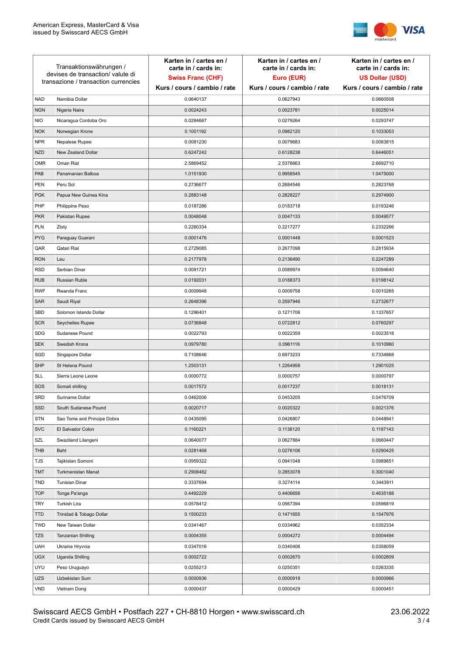

| Transaktionswährungen /<br>devises de transaction/valute di<br>transazione / transaction currencies |                             | Karten in / cartes en /<br>carte in / cards in:<br><b>Swiss Franc (CHF)</b> | Karten in / cartes en /<br>carte in / cards in:<br>Euro (EUR) | Karten in / cartes en /<br>carte in / cards in:<br><b>US Dollar (USD)</b> |
|-----------------------------------------------------------------------------------------------------|-----------------------------|-----------------------------------------------------------------------------|---------------------------------------------------------------|---------------------------------------------------------------------------|
|                                                                                                     |                             | Kurs / cours / cambio / rate                                                | Kurs / cours / cambio / rate                                  | Kurs / cours / cambio / rate                                              |
| <b>NAD</b>                                                                                          | Namibia Dollar              | 0.0640137                                                                   | 0.0627943                                                     | 0.0660508                                                                 |
| <b>NGN</b>                                                                                          | Nigeria Naira               | 0.0024243                                                                   | 0.0023781                                                     | 0.0025014                                                                 |
| <b>NIO</b>                                                                                          | Nicaragua Cordoba Oro       | 0.0284687                                                                   | 0.0279264                                                     | 0.0293747                                                                 |
| <b>NOK</b>                                                                                          | Norwegian Krone             | 0.1001192                                                                   | 0.0982120                                                     | 0.1033053                                                                 |
| <b>NPR</b>                                                                                          | Nepalese Rupee              | 0.0081230                                                                   | 0.0079683                                                     | 0.0083815                                                                 |
| <b>NZD</b>                                                                                          | New Zealand Dollar          | 0.6247242                                                                   | 0.6128238                                                     | 0.6446051                                                                 |
| <b>OMR</b>                                                                                          | Oman Rial                   | 2.5869452                                                                   | 2.5376663                                                     | 2.6692710                                                                 |
| PAB                                                                                                 | Panamanian Balboa           | 1.0151930                                                                   | 0.9958545                                                     | 1.0475000                                                                 |
| <b>PEN</b>                                                                                          | Peru Sol                    | 0.2736677                                                                   | 0.2684546                                                     | 0.2823768                                                                 |
| <b>PGK</b>                                                                                          | Papua New Guinea Kina       | 0.2883148                                                                   | 0.2828227                                                     | 0.2974900                                                                 |
| PHP                                                                                                 | Philippine Peso             | 0.0187286                                                                   | 0.0183718                                                     | 0.0193246                                                                 |
| <b>PKR</b>                                                                                          | Pakistan Rupee              | 0.0048048                                                                   | 0.0047133                                                     | 0.0049577                                                                 |
| PLN                                                                                                 | Zloty                       | 0.2260334                                                                   | 0.2217277                                                     | 0.2332266                                                                 |
| <b>PYG</b>                                                                                          | Paraguay Guarani            | 0.0001476                                                                   | 0.0001448                                                     | 0.0001523                                                                 |
| QAR                                                                                                 | Qatari Rial                 | 0.2729085                                                                   | 0.2677098                                                     | 0.2815934                                                                 |
| <b>RON</b>                                                                                          | Leu                         | 0.2177978                                                                   | 0.2136490                                                     | 0.2247289                                                                 |
| <b>RSD</b>                                                                                          | Serbian Dinar               | 0.0091721                                                                   | 0.0089974                                                     | 0.0094640                                                                 |
| <b>RUB</b>                                                                                          | Russian Ruble               | 0.0192031                                                                   | 0.0188373                                                     | 0.0198142                                                                 |
| <b>RWF</b>                                                                                          | Rwanda Franc                | 0.0009948                                                                   | 0.0009758                                                     | 0.0010265                                                                 |
| SAR                                                                                                 | Saudi Riyal                 | 0.2648396                                                                   | 0.2597946                                                     | 0.2732677                                                                 |
| SBD                                                                                                 | Solomon Islands Dollar      | 0.1296401                                                                   | 0.1271706                                                     | 0.1337657                                                                 |
| <b>SCR</b>                                                                                          | Seychelles Rupee            | 0.0736848                                                                   | 0.0722812                                                     | 0.0760297                                                                 |
| <b>SDG</b>                                                                                          | Sudanese Pound              | 0.0022793                                                                   | 0.0022359                                                     | 0.0023518                                                                 |
| <b>SEK</b>                                                                                          | Swedish Krona               | 0.0979780                                                                   | 0.0961116                                                     | 0.1010960                                                                 |
| SGD                                                                                                 | Singapore Dollar            | 0.7108646                                                                   | 0.6973233                                                     | 0.7334868                                                                 |
| <b>SHP</b>                                                                                          | St Helena Pound             | 1.2503131                                                                   | 1.2264958                                                     | 1.2901025                                                                 |
| <b>SLL</b>                                                                                          | Sierra Leone Leone          | 0.0000772                                                                   | 0.0000757                                                     | 0.0000797                                                                 |
| SOS                                                                                                 | Somali shilling             | 0.0017572                                                                   | 0.0017237                                                     | 0.0018131                                                                 |
| SRD                                                                                                 | Suriname Dollar             | 0.0462006                                                                   | 0.0453205                                                     | 0.0476709                                                                 |
| SSD                                                                                                 | South Sudanese Pound        | 0.0020717                                                                   | 0.0020322                                                     | 0.0021376                                                                 |
| <b>STN</b>                                                                                          | Sao Tome and Principe Dobra | 0.0435095                                                                   | 0.0426807                                                     | 0.0448941                                                                 |
| <b>SVC</b>                                                                                          | El Salvador Colon           | 0.1160221                                                                   | 0.1138120                                                     | 0.1197143                                                                 |
| SZL                                                                                                 | Swaziland Lilangeni         | 0.0640077                                                                   | 0.0627884                                                     | 0.0660447                                                                 |
| THB                                                                                                 | Baht                        | 0.0281468                                                                   | 0.0276106                                                     | 0.0290425                                                                 |
| TJS                                                                                                 | Tajikistan Somoni           | 0.0959322                                                                   | 0.0941048                                                     | 0.0989851                                                                 |
| <b>TMT</b>                                                                                          | Turkmenistan Manat          | 0.2908482                                                                   | 0.2853078                                                     | 0.3001040                                                                 |
| <b>TND</b>                                                                                          | Tunisian Dinar              | 0.3337694                                                                   | 0.3274114                                                     | 0.3443911                                                                 |
| <b>TOP</b>                                                                                          | Tonga Pa'anga               | 0.4492229                                                                   | 0.4406656                                                     | 0.4635188                                                                 |
| <b>TRY</b>                                                                                          | Turkish Lira                | 0.0578412                                                                   | 0.0567394                                                     | 0.0596819                                                                 |
| <b>TTD</b>                                                                                          | Trinidad & Tobago Dollar    | 0.1500233                                                                   | 0.1471655                                                     | 0.1547976                                                                 |
| <b>TWD</b>                                                                                          | New Taiwan Dollar           | 0.0341467                                                                   | 0.0334962                                                     | 0.0352334                                                                 |
| TZS                                                                                                 | Tanzanian Shilling          | 0.0004355                                                                   | 0.0004272                                                     | 0.0004494                                                                 |
| <b>UAH</b>                                                                                          | Ukraine Hryvnia             | 0.0347016                                                                   | 0.0340406                                                     | 0.0358059                                                                 |
| <b>UGX</b>                                                                                          | Uganda Shilling             | 0.0002722                                                                   | 0.0002670                                                     | 0.0002809                                                                 |
| <b>UYU</b>                                                                                          | Peso Uruguayo               | 0.0255213                                                                   | 0.0250351                                                     | 0.0263335                                                                 |
| <b>UZS</b>                                                                                          | Uzbekistan Sum              | 0.0000936                                                                   | 0.0000918                                                     | 0.0000966                                                                 |
| <b>VND</b>                                                                                          | Vietnam Dong                | 0.0000437                                                                   | 0.0000429                                                     | 0.0000451                                                                 |